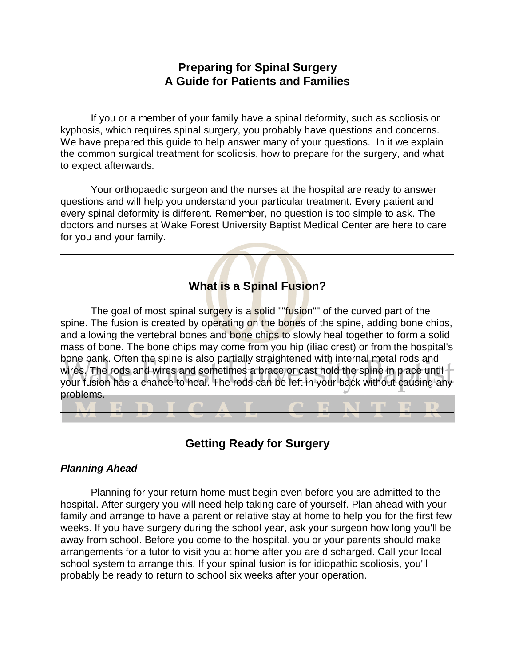# **Preparing for Spinal Surgery A Guide for Patients and Families**

If you or a member of your family have a spinal deformity, such as scoliosis or kyphosis, which requires spinal surgery, you probably have questions and concerns. We have prepared this guide to help answer many of your questions. In it we explain the common surgical treatment for scoliosis, how to prepare for the surgery, and what to expect afterwards.

Your orthopaedic surgeon and the nurses at the hospital are ready to answer questions and will help you understand your particular treatment. Every patient and every spinal deformity is different. Remember, no question is too simple to ask. The doctors and nurses at Wake Forest University Baptist Medical Center are here to care for you and your family.

## **What is a Spinal Fusion?**

The goal of most spinal surgery is a solid ""fusion"" of the curved part of the spine. The fusion is created by operating on the bones of the spine, adding bone chips, and allowing the vertebral bones and bone chips to slowly heal together to form a solid mass of bone. The bone chips may come from you hip (iliac crest) or from the hospital's bone bank. Often the spine is also partially straightened with internal metal rods and wires. The rods and wires and sometimes a brace or cast hold the spine in place until your fusion has a chance to heal. The rods can be left in your back without causing any problems.

**Getting Ready for Surgery**

## *Planning Ahead*

Planning for your return home must begin even before you are admitted to the hospital. After surgery you will need help taking care of yourself. Plan ahead with your family and arrange to have a parent or relative stay at home to help you for the first few weeks. If you have surgery during the school year, ask your surgeon how long you'll be away from school. Before you come to the hospital, you or your parents should make arrangements for a tutor to visit you at home after you are discharged. Call your local school system to arrange this. If your spinal fusion is for idiopathic scoliosis, you'll probably be ready to return to school six weeks after your operation.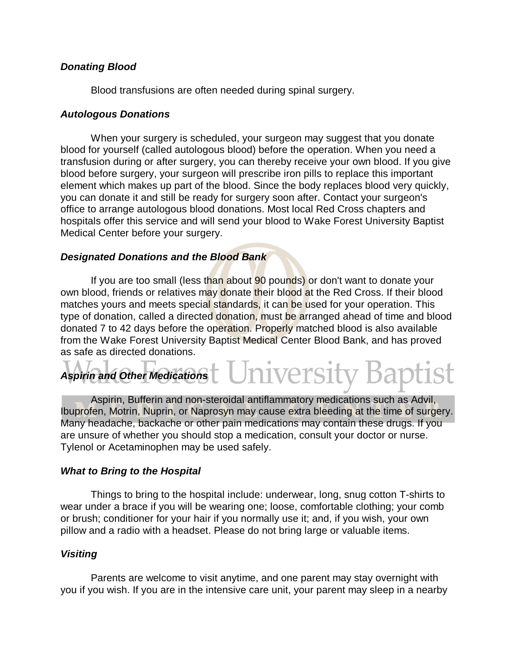## *Donating Blood*

Blood transfusions are often needed during spinal surgery.

### *Autologous Donations*

When your surgery is scheduled, your surgeon may suggest that you donate blood for yourself (called autologous blood) before the operation. When you need a transfusion during or after surgery, you can thereby receive your own blood. If you give blood before surgery, your surgeon will prescribe iron pills to replace this important element which makes up part of the blood. Since the body replaces blood very quickly, you can donate it and still be ready for surgery soon after. Contact your surgeon's office to arrange autologous blood donations. Most local Red Cross chapters and hospitals offer this service and will send your blood to Wake Forest University Baptist Medical Center before your surgery.

## *Designated Donations and the Blood Bank*

If you are too small (less than about 90 pounds) or don't want to donate your own blood, friends or relatives may donate their blood at the Red Cross. If their blood matches yours and meets special standards, it can be used for your operation. This type of donation, called a directed donation, must be arranged ahead of time and blood donated 7 to 42 days before the operation. Properly matched blood is also available from the Wake Forest University Baptist Medical Center Blood Bank, and has proved as safe as directed donations.

# Universit *Aspirin and Other Medications*

Aspirin, Bufferin and non-steroidal antiflammatory medications such as Advil, Ibuprofen, Motrin, Nuprin, or Naprosyn may cause extra bleeding at the time of surgery. Many headache, backache or other pain medications may contain these drugs. If you are unsure of whether you should stop a medication, consult your doctor or nurse. Tylenol or Acetaminophen may be used safely.

## *What to Bring to the Hospital*

Things to bring to the hospital include: underwear, long, snug cotton T-shirts to wear under a brace if you will be wearing one; loose, comfortable clothing; your comb or brush; conditioner for your hair if you normally use it; and, if you wish, your own pillow and a radio with a headset. Please do not bring large or valuable items.

## *Visiting*

Parents are welcome to visit anytime, and one parent may stay overnight with you if you wish. If you are in the intensive care unit, your parent may sleep in a nearby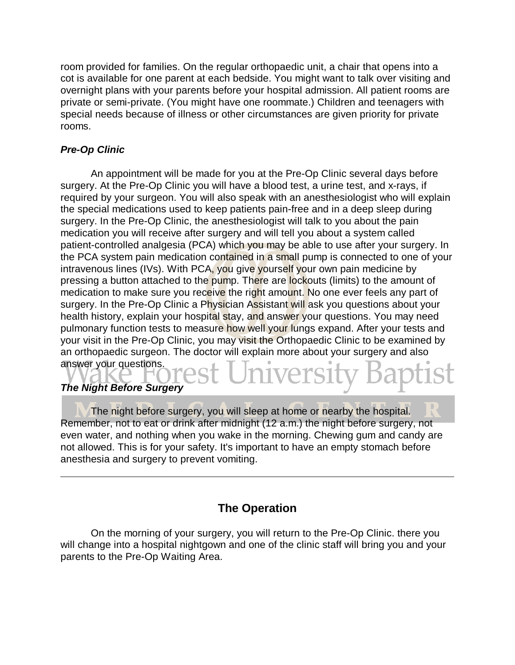room provided for families. On the regular orthopaedic unit, a chair that opens into a cot is available for one parent at each bedside. You might want to talk over visiting and overnight plans with your parents before your hospital admission. All patient rooms are private or semi-private. (You might have one roommate.) Children and teenagers with special needs because of illness or other circumstances are given priority for private rooms.

## *Pre-Op Clinic*

An appointment will be made for you at the Pre-Op Clinic several days before surgery. At the Pre-Op Clinic you will have a blood test, a urine test, and x-rays, if required by your surgeon. You will also speak with an anesthesiologist who will explain the special medications used to keep patients pain-free and in a deep sleep during surgery. In the Pre-Op Clinic, the anesthesiologist will talk to you about the pain medication you will receive after surgery and will tell you about a system called patient-controlled analgesia (PCA) which you may be able to use after your surgery. In the PCA system pain medication contained in a small pump is connected to one of your intravenous lines (IVs). With PCA, you give yourself your own pain medicine by pressing a button attached to the pump. There are lockouts (limits) to the amount of medication to make sure you receive the right amount. No one ever feels any part of surgery. In the Pre-Op Clinic a Physician Assistant will ask you questions about your health history, explain your hospital stay, and answer your questions. You may need pulmonary function tests to measure how well your lungs expand. After your tests and your visit in the Pre-Op Clinic, you may visit the Orthopaedic Clinic to be examined by an orthopaedic surgeon. The doctor will explain more about your surgery and also answer your questions.

## *The Night Before Surgery*

The night before surgery, you will sleep at home or nearby the hospital. Remember, not to eat or drink after midnight (12 a.m.) the night before surgery, not even water, and nothing when you wake in the morning. Chewing gum and candy are not allowed. This is for your safety. It's important to have an empty stomach before anesthesia and surgery to prevent vomiting.

# **The Operation**

On the morning of your surgery, you will return to the Pre-Op Clinic. there you will change into a hospital nightgown and one of the clinic staff will bring you and your parents to the Pre-Op Waiting Area.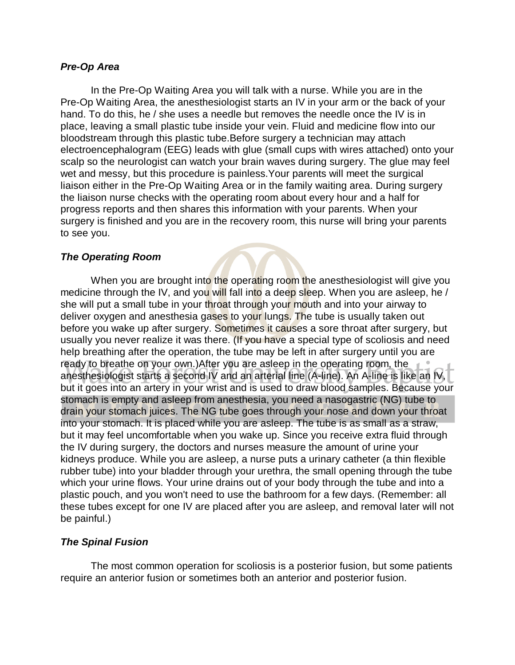#### *Pre-Op Area*

In the Pre-Op Waiting Area you will talk with a nurse. While you are in the Pre-Op Waiting Area, the anesthesiologist starts an IV in your arm or the back of your hand. To do this, he / she uses a needle but removes the needle once the IV is in place, leaving a small plastic tube inside your vein. Fluid and medicine flow into our bloodstream through this plastic tube.Before surgery a technician may attach electroencephalogram (EEG) leads with glue (small cups with wires attached) onto your scalp so the neurologist can watch your brain waves during surgery. The glue may feel wet and messy, but this procedure is painless.Your parents will meet the surgical liaison either in the Pre-Op Waiting Area or in the family waiting area. During surgery the liaison nurse checks with the operating room about every hour and a half for progress reports and then shares this information with your parents. When your surgery is finished and you are in the recovery room, this nurse will bring your parents to see you.

## *The Operating Room*

When you are brought into the operating room the anesthesiologist will give you medicine through the IV, and you will fall into a deep sleep. When you are asleep, he / she will put a small tube in your throat through your mouth and into your airway to deliver oxygen and anesthesia gases to your lungs. The tube is usually taken out before you wake up after surgery. Sometimes it causes a sore throat after surgery, but usually you never realize it was there. (If you have a special type of scoliosis and need help breathing after the operation, the tube may be left in after surgery until you are ready to breathe on your own.)After you are asleep in the operating room, the anesthesiologist starts a second IV and an arterial line (A-line). An A-line is like an IV, but it goes into an artery in your wrist and is used to draw blood samples. Because your stomach is empty and asleep from anesthesia, you need a nasogastric (NG) tube to drain your stomach juices. The NG tube goes through your nose and down your throat into your stomach. It is placed while you are asleep. The tube is as small as a straw, but it may feel uncomfortable when you wake up. Since you receive extra fluid through the IV during surgery, the doctors and nurses measure the amount of urine your kidneys produce. While you are asleep, a nurse puts a urinary catheter (a thin flexible rubber tube) into your bladder through your urethra, the small opening through the tube which your urine flows. Your urine drains out of your body through the tube and into a plastic pouch, and you won't need to use the bathroom for a few days. (Remember: all these tubes except for one IV are placed after you are asleep, and removal later will not be painful.)

## *The Spinal Fusion*

The most common operation for scoliosis is a posterior fusion, but some patients require an anterior fusion or sometimes both an anterior and posterior fusion.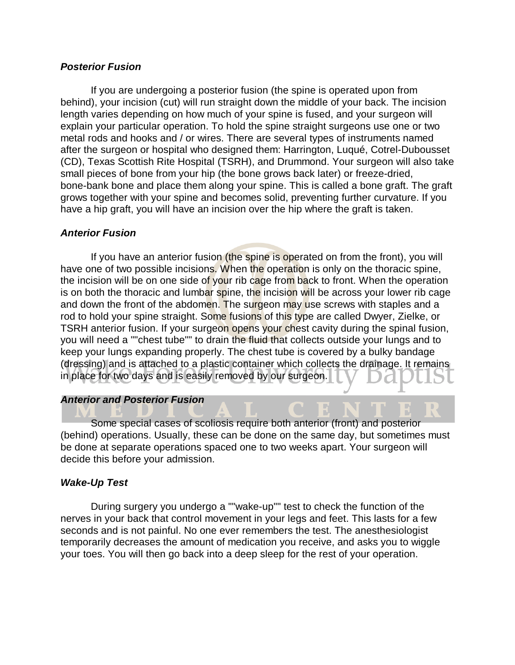#### *Posterior Fusion*

If you are undergoing a posterior fusion (the spine is operated upon from behind), your incision (cut) will run straight down the middle of your back. The incision length varies depending on how much of your spine is fused, and your surgeon will explain your particular operation. To hold the spine straight surgeons use one or two metal rods and hooks and / or wires. There are several types of instruments named after the surgeon or hospital who designed them: Harrington, Luqué, Cotrel-Dubousset (CD), Texas Scottish Rite Hospital (TSRH), and Drummond. Your surgeon will also take small pieces of bone from your hip (the bone grows back later) or freeze-dried, bone-bank bone and place them along your spine. This is called a bone graft. The graft grows together with your spine and becomes solid, preventing further curvature. If you have a hip graft, you will have an incision over the hip where the graft is taken.

#### *Anterior Fusion*

If you have an anterior fusion (the spine is operated on from the front), you will have one of two possible incisions. When the operation is only on the thoracic spine, the incision will be on one side of your rib cage from back to front. When the operation is on both the thoracic and lumbar spine, the incision will be across your lower rib cage and down the front of the abdomen. The surgeon may use screws with staples and a rod to hold your spine straight. Some fusions of this type are called Dwyer, Zielke, or TSRH anterior fusion. If your surgeon opens your chest cavity during the spinal fusion, you will need a ""chest tube"" to drain the fluid that collects outside your lungs and to keep your lungs expanding properly. The chest tube is covered by a bulky bandage (dressing) and is attached to a plastic container which collects the drainage. It remains in place for two days and is easily removed by our surgeon.

#### *Anterior and Posterior Fusion*

Some special cases of scoliosis require both anterior (front) and posterior (behind) operations. Usually, these can be done on the same day, but sometimes must be done at separate operations spaced one to two weeks apart. Your surgeon will decide this before your admission.

#### *Wake-Up Test*

During surgery you undergo a ""wake-up"" test to check the function of the nerves in your back that control movement in your legs and feet. This lasts for a few seconds and is not painful. No one ever remembers the test. The anesthesiologist temporarily decreases the amount of medication you receive, and asks you to wiggle your toes. You will then go back into a deep sleep for the rest of your operation.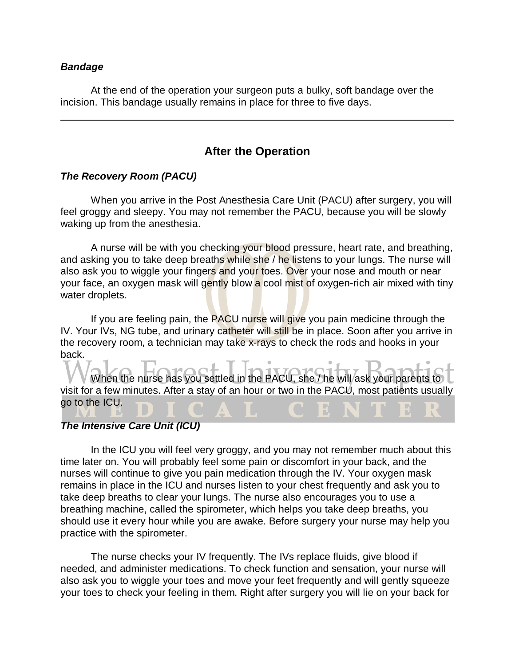#### *Bandage*

At the end of the operation your surgeon puts a bulky, soft bandage over the incision. This bandage usually remains in place for three to five days.

## **After the Operation**

## *The Recovery Room (PACU)*

When you arrive in the Post Anesthesia Care Unit (PACU) after surgery, you will feel groggy and sleepy. You may not remember the PACU, because you will be slowly waking up from the anesthesia.

A nurse will be with you checking your blood pressure, heart rate, and breathing, and asking you to take deep breaths while she / he listens to your lungs. The nurse will also ask you to wiggle your fingers and your toes. Over your nose and mouth or near your face, an oxygen mask will gently blow a cool mist of oxygen-rich air mixed with tiny water droplets.

If you are feeling pain, the PACU nurse will give you pain medicine through the IV. Your IVs, NG tube, and urinary catheter will still be in place. Soon after you arrive in the recovery room, a technician may take x-rays to check the rods and hooks in your back.

When the nurse has you settled in the PACU, she / he will ask your parents to visit for a few minutes. After a stay of an hour or two in the PACU, most patients usually go to the ICU.

## *The Intensive Care Unit (ICU)*

In the ICU you will feel very groggy, and you may not remember much about this time later on. You will probably feel some pain or discomfort in your back, and the nurses will continue to give you pain medication through the IV. Your oxygen mask remains in place in the ICU and nurses listen to your chest frequently and ask you to take deep breaths to clear your lungs. The nurse also encourages you to use a breathing machine, called the spirometer, which helps you take deep breaths, you should use it every hour while you are awake. Before surgery your nurse may help you practice with the spirometer.

The nurse checks your IV frequently. The IVs replace fluids, give blood if needed, and administer medications. To check function and sensation, your nurse will also ask you to wiggle your toes and move your feet frequently and will gently squeeze your toes to check your feeling in them. Right after surgery you will lie on your back for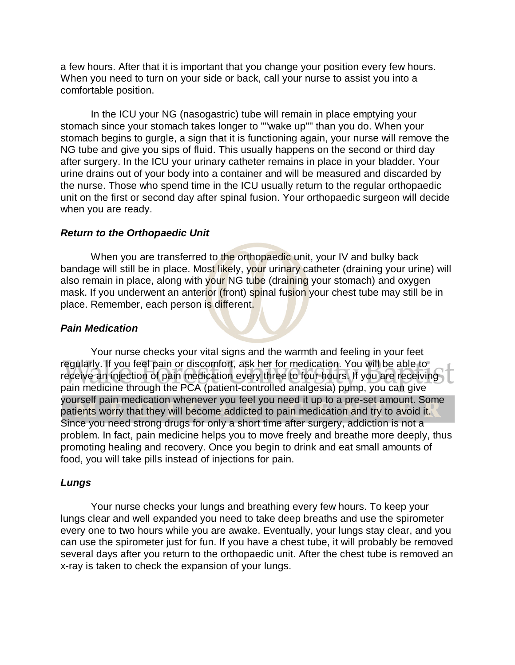a few hours. After that it is important that you change your position every few hours. When you need to turn on your side or back, call your nurse to assist you into a comfortable position.

In the ICU your NG (nasogastric) tube will remain in place emptying your stomach since your stomach takes longer to ""wake up"" than you do. When your stomach begins to gurgle, a sign that it is functioning again, your nurse will remove the NG tube and give you sips of fluid. This usually happens on the second or third day after surgery. In the ICU your urinary catheter remains in place in your bladder. Your urine drains out of your body into a container and will be measured and discarded by the nurse. Those who spend time in the ICU usually return to the regular orthopaedic unit on the first or second day after spinal fusion. Your orthopaedic surgeon will decide when you are ready.

#### *Return to the Orthopaedic Unit*

When you are transferred to the orthopaedic unit, your IV and bulky back bandage will still be in place. Most likely, your urinary catheter (draining your urine) will also remain in place, along with your NG tube (draining your stomach) and oxygen mask. If you underwent an anterior (front) spinal fusion your chest tube may still be in place. Remember, each person is different.

#### *Pain Medication*

Your nurse checks your vital signs and the warmth and feeling in your feet regularly. If you feel pain or discomfort, ask her for medication. You will be able to receive an injection of pain medication every three to four hours. If you are receiving pain medicine through the PCA (patient-controlled analgesia) pump, you can give yourself pain medication whenever you feel you need it up to a pre-set amount. Some patients worry that they will become addicted to pain medication and try to avoid it. Since you need strong drugs for only a short time after surgery, addiction is not a problem. In fact, pain medicine helps you to move freely and breathe more deeply, thus promoting healing and recovery. Once you begin to drink and eat small amounts of food, you will take pills instead of injections for pain.

#### *Lungs*

Your nurse checks your lungs and breathing every few hours. To keep your lungs clear and well expanded you need to take deep breaths and use the spirometer every one to two hours while you are awake. Eventually, your lungs stay clear, and you can use the spirometer just for fun. If you have a chest tube, it will probably be removed several days after you return to the orthopaedic unit. After the chest tube is removed an x-ray is taken to check the expansion of your lungs.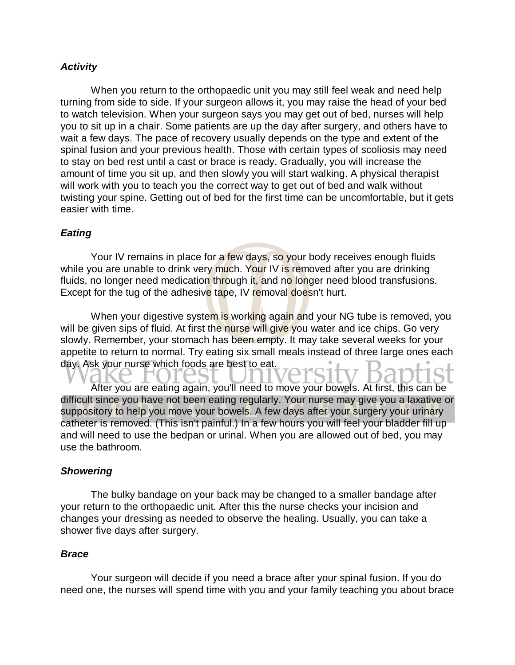## *Activity*

When you return to the orthopaedic unit you may still feel weak and need help turning from side to side. If your surgeon allows it, you may raise the head of your bed to watch television. When your surgeon says you may get out of bed, nurses will help you to sit up in a chair. Some patients are up the day after surgery, and others have to wait a few days. The pace of recovery usually depends on the type and extent of the spinal fusion and your previous health. Those with certain types of scoliosis may need to stay on bed rest until a cast or brace is ready. Gradually, you will increase the amount of time you sit up, and then slowly you will start walking. A physical therapist will work with you to teach you the correct way to get out of bed and walk without twisting your spine. Getting out of bed for the first time can be uncomfortable, but it gets easier with time.

## *Eating*

Your IV remains in place for a few days, so your body receives enough fluids while you are unable to drink very much. Your IV is removed after you are drinking fluids, no longer need medication through it, and no longer need blood transfusions. Except for the tug of the adhesive tape, IV removal doesn't hurt.

When your digestive system is working again and your NG tube is removed, you will be given sips of fluid. At first the nurse will give you water and ice chips. Go very slowly. Remember, your stomach has been empty. It may take several weeks for your appetite to return to normal. Try eating six small meals instead of three large ones each day. Ask your nurse which foods are best to eat.

After you are eating again, you'll need to move your bowels. At first, this can be difficult since you have not been eating regularly. Your nurse may give you a laxative or suppository to help you move your bowels. A few days after your surgery your urinary catheter is removed. (This isn't painful.) In a few hours you will feel your bladder fill up and will need to use the bedpan or urinal. When you are allowed out of bed, you may use the bathroom.

## *Showering*

The bulky bandage on your back may be changed to a smaller bandage after your return to the orthopaedic unit. After this the nurse checks your incision and changes your dressing as needed to observe the healing. Usually, you can take a shower five days after surgery.

## *Brace*

Your surgeon will decide if you need a brace after your spinal fusion. If you do need one, the nurses will spend time with you and your family teaching you about brace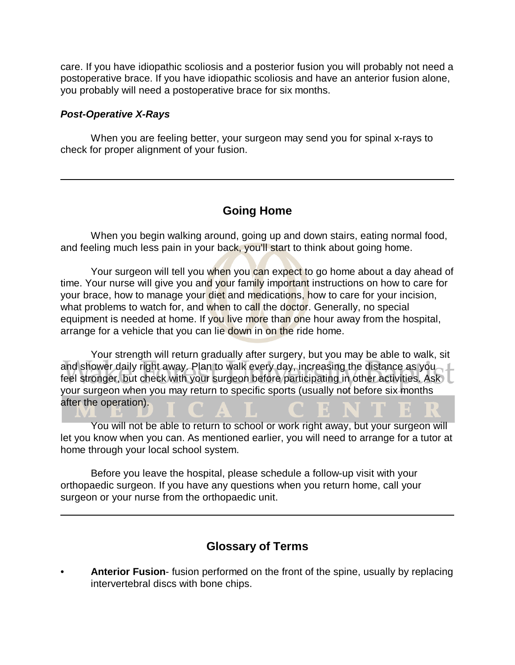care. If you have idiopathic scoliosis and a posterior fusion you will probably not need a postoperative brace. If you have idiopathic scoliosis and have an anterior fusion alone, you probably will need a postoperative brace for six months.

### *Post-Operative X-Rays*

When you are feeling better, your surgeon may send you for spinal x-rays to check for proper alignment of your fusion.

# **Going Home**

When you begin walking around, going up and down stairs, eating normal food, and feeling much less pain in your back, you'll start to think about going home.

Your surgeon will tell you when you can expect to go home about a day ahead of time. Your nurse will give you and your family important instructions on how to care for your brace, how to manage your diet and medications, how to care for your incision, what problems to watch for, and when to call the doctor. Generally, no special equipment is needed at home. If you live more than one hour away from the hospital, arrange for a vehicle that you can lie down in on the ride home.

Your strength will return gradually after surgery, but you may be able to walk, sit and shower daily right away. Plan to walk every day, increasing the distance as you feel stronger, but check with your surgeon before participating in other activities. Ask your surgeon when you may return to specific sports (usually not before six months after the operation).

You will not be able to return to school or work right away, but your surgeon will let you know when you can. As mentioned earlier, you will need to arrange for a tutor at home through your local school system.

Before you leave the hospital, please schedule a follow-up visit with your orthopaedic surgeon. If you have any questions when you return home, call your surgeon or your nurse from the orthopaedic unit.

## **Glossary of Terms**

• **Anterior Fusion**- fusion performed on the front of the spine, usually by replacing intervertebral discs with bone chips.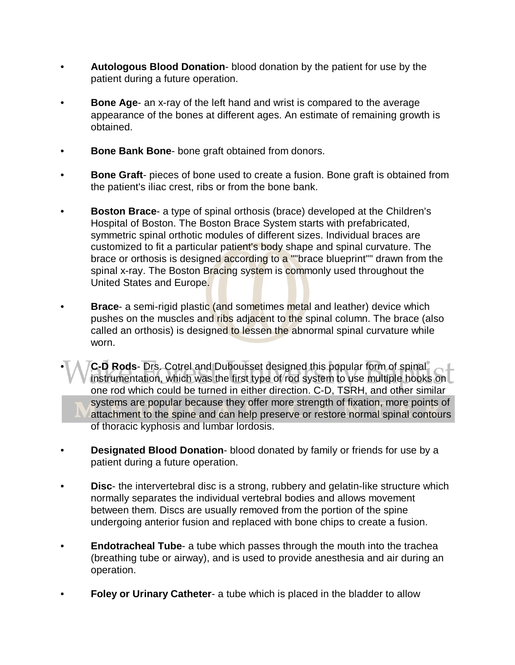- **Autologous Blood Donation** blood donation by the patient for use by the patient during a future operation.
- **Bone Age-** an x-ray of the left hand and wrist is compared to the average appearance of the bones at different ages. An estimate of remaining growth is obtained.
- **Bone Bank Bone-** bone graft obtained from donors.
- **Bone Graft** pieces of bone used to create a fusion. Bone graft is obtained from the patient's iliac crest, ribs or from the bone bank.
- **Boston Brace** a type of spinal orthosis (brace) developed at the Children's Hospital of Boston. The Boston Brace System starts with prefabricated, symmetric spinal orthotic modules of different sizes. Individual braces are customized to fit a particular patient's body shape and spinal curvature. The brace or orthosis is designed according to a ""brace blueprint"" drawn from the spinal x-ray. The Boston Bracing system is commonly used throughout the United States and Europe.
- **Brace-** a semi-rigid plastic (and sometimes metal and leather) device which pushes on the muscles and ribs adjacent to the spinal column. The brace (also called an orthosis) is designed to lessen the abnormal spinal curvature while worn.
- **C-D Rods** Drs. Cotrel and Dubousset designed this popular form of spinal instrumentation, which was the first type of rod system to use multiple hooks on one rod which could be turned in either direction. C-D, TSRH, and other similar systems are popular because they offer more strength of fixation, more points of attachment to the spine and can help preserve or restore normal spinal contours of thoracic kyphosis and lumbar lordosis.
- **Designated Blood Donation** blood donated by family or friends for use by a patient during a future operation.
- **Disc** the intervertebral disc is a strong, rubbery and gelatin-like structure which normally separates the individual vertebral bodies and allows movement between them. Discs are usually removed from the portion of the spine undergoing anterior fusion and replaced with bone chips to create a fusion.
- **Endotracheal Tube** a tube which passes through the mouth into the trachea (breathing tube or airway), and is used to provide anesthesia and air during an operation.
- **Foley or Urinary Catheter-** a tube which is placed in the bladder to allow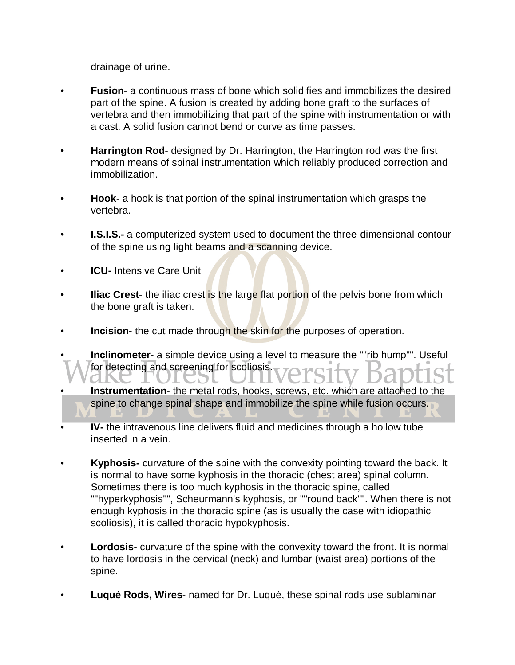drainage of urine.

- **Fusion** a continuous mass of bone which solidifies and immobilizes the desired part of the spine. A fusion is created by adding bone graft to the surfaces of vertebra and then immobilizing that part of the spine with instrumentation or with a cast. A solid fusion cannot bend or curve as time passes.
- **Harrington Rod** designed by Dr. Harrington, the Harrington rod was the first modern means of spinal instrumentation which reliably produced correction and immobilization.
- **Hook** a hook is that portion of the spinal instrumentation which grasps the vertebra.
- **I.S.I.S.-** a computerized system used to document the three-dimensional contour of the spine using light beams and a scanning device.
- **ICU-** Intensive Care Unit
- **Iliac Crest** the iliac crest is the large flat portion of the pelvis bone from which the bone graft is taken.
- **Incision** the cut made through the skin for the purposes of operation.
- **Inclinometer** a simple device using a level to measure the ""rib hump"". Useful for detecting and screening for scoliosis. الاتات
- **Instrumentation-** the metal rods, hooks, screws, etc. which are attached to the spine to change spinal shape and immobilize the spine while fusion occurs.
- **IV-** the intravenous line delivers fluid and medicines through a hollow tube inserted in a vein.
- **Kyphosis-** curvature of the spine with the convexity pointing toward the back. It is normal to have some kyphosis in the thoracic (chest area) spinal column. Sometimes there is too much kyphosis in the thoracic spine, called ""hyperkyphosis"", Scheurmann's kyphosis, or ""round back"". When there is not enough kyphosis in the thoracic spine (as is usually the case with idiopathic scoliosis), it is called thoracic hypokyphosis.
- **Lordosis** curvature of the spine with the convexity toward the front. It is normal to have lordosis in the cervical (neck) and lumbar (waist area) portions of the spine.
- **Luqué Rods, Wires** named for Dr. Luqué, these spinal rods use sublaminar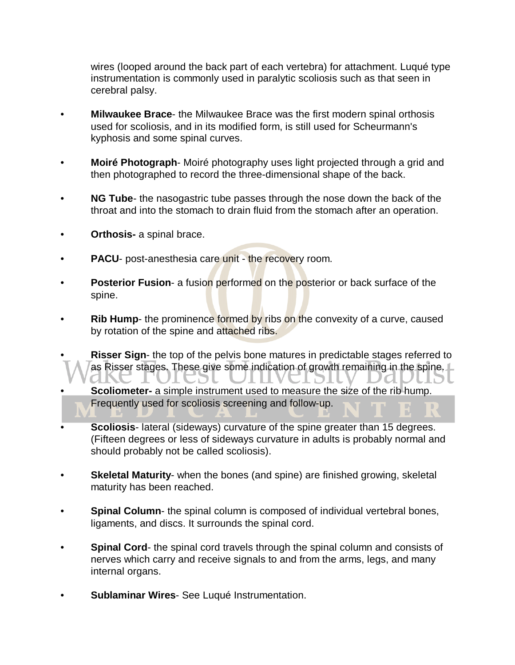wires (looped around the back part of each vertebra) for attachment. Luqué type instrumentation is commonly used in paralytic scoliosis such as that seen in cerebral palsy.

- **Milwaukee Brace** the Milwaukee Brace was the first modern spinal orthosis used for scoliosis, and in its modified form, is still used for Scheurmann's kyphosis and some spinal curves.
- **Moiré Photograph** Moiré photography uses light projected through a grid and then photographed to record the three-dimensional shape of the back.
- **NG Tube** the nasogastric tube passes through the nose down the back of the throat and into the stomach to drain fluid from the stomach after an operation.
- **Orthosis-** a spinal brace.
- **PACU** post-anesthesia care unit the recovery room.
- **Posterior Fusion-** a fusion performed on the posterior or back surface of the spine.
- **Rib Hump** the prominence formed by ribs on the convexity of a curve, caused by rotation of the spine and attached ribs.
- **Risser Sign-** the top of the pelvis bone matures in predictable stages referred to as Risser stages. These give some indication of growth remaining in the spine. LEST OTHAETSIL Jal
- **Scoliometer-** a simple instrument used to measure the size of the rib hump. Frequently used for scoliosis screening and follow-up.
- **Scoliosis** lateral (sideways) curvature of the spine greater than 15 degrees. (Fifteen degrees or less of sideways curvature in adults is probably normal and should probably not be called scoliosis).
- **Skeletal Maturity** when the bones (and spine) are finished growing, skeletal maturity has been reached.
- **Spinal Column-** the spinal column is composed of individual vertebral bones, ligaments, and discs. It surrounds the spinal cord.
- **Spinal Cord** the spinal cord travels through the spinal column and consists of nerves which carry and receive signals to and from the arms, legs, and many internal organs.
- **Sublaminar Wires** See Luqué Instrumentation.